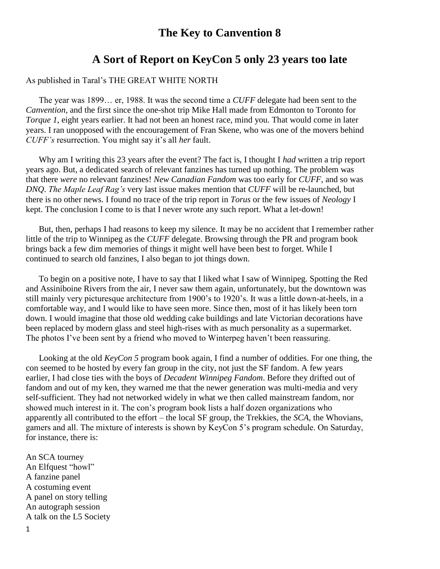## **The Key to Canvention 8**

## **A Sort of Report on KeyCon 5 only 23 years too late**

## As published in Taral's THE GREAT WHITE NORTH

 The year was 1899… er, 1988. It was the second time a *CUFF* delegate had been sent to the *Canvention*, and the first since the one-shot trip Mike Hall made from Edmonton to Toronto for *Torque 1*, eight years earlier. It had not been an honest race, mind you. That would come in later years. I ran unopposed with the encouragement of Fran Skene, who was one of the movers behind *CUFF's* resurrection. You might say it's all *her* fault.

 Why am I writing this 23 years after the event? The fact is, I thought I *had* written a trip report years ago. But, a dedicated search of relevant fanzines has turned up nothing. The problem was that there *were* no relevant fanzines! *New Canadian Fandom* was too early for *CUFF*, and so was *DNQ*. *The Maple Leaf Rag's* very last issue makes mention that *CUFF* will be re-launched, but there is no other news. I found no trace of the trip report in *Torus* or the few issues of *Neology* I kept. The conclusion I come to is that I never wrote any such report. What a let-down!

 But, then, perhaps I had reasons to keep my silence. It may be no accident that I remember rather little of the trip to Winnipeg as the *CUFF* delegate. Browsing through the PR and program book brings back a few dim memories of things it might well have been best to forget. While I continued to search old fanzines, I also began to jot things down.

 To begin on a positive note, I have to say that I liked what I saw of Winnipeg. Spotting the Red and Assiniboine Rivers from the air, I never saw them again, unfortunately, but the downtown was still mainly very picturesque architecture from 1900's to 1920's. It was a little down-at-heels, in a comfortable way, and I would like to have seen more. Since then, most of it has likely been torn down. I would imagine that those old wedding cake buildings and late Victorian decorations have been replaced by modern glass and steel high-rises with as much personality as a supermarket. The photos I've been sent by a friend who moved to Winterpeg haven't been reassuring.

 Looking at the old *KeyCon 5* program book again, I find a number of oddities. For one thing, the con seemed to be hosted by every fan group in the city, not just the SF fandom. A few years earlier, I had close ties with the boys of *Decadent Winnipeg Fandom*. Before they drifted out of fandom and out of my ken, they warned me that the newer generation was multi-media and very self-sufficient. They had not networked widely in what we then called mainstream fandom, nor showed much interest in it. The con's program book lists a half dozen organizations who apparently all contributed to the effort – the local SF group, the Trekkies, the *SCA*, the Whovians, gamers and all. The mixture of interests is shown by KeyCon 5's program schedule. On Saturday, for instance, there is:

An SCA tourney An Elfquest "howl" A fanzine panel A costuming event A panel on story telling An autograph session A talk on the L5 Society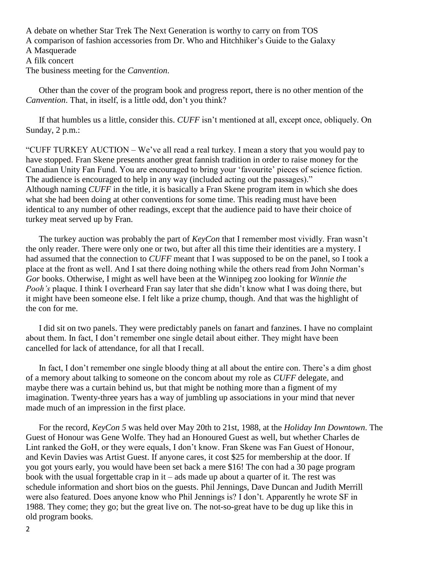A debate on whether Star Trek The Next Generation is worthy to carry on from TOS A comparison of fashion accessories from Dr. Who and Hitchhiker's Guide to the Galaxy A Masquerade A filk concert The business meeting for the *Canvention*.

 Other than the cover of the program book and progress report, there is no other mention of the *Canvention*. That, in itself, is a little odd, don't you think?

 If that humbles us a little, consider this. *CUFF* isn't mentioned at all, except once, obliquely. On Sunday, 2 p.m.:

"CUFF TURKEY AUCTION – We've all read a real turkey. I mean a story that you would pay to have stopped. Fran Skene presents another great fannish tradition in order to raise money for the Canadian Unity Fan Fund. You are encouraged to bring your 'favourite' pieces of science fiction. The audience is encouraged to help in any way (included acting out the passages)." Although naming *CUFF* in the title, it is basically a Fran Skene program item in which she does what she had been doing at other conventions for some time. This reading must have been identical to any number of other readings, except that the audience paid to have their choice of turkey meat served up by Fran.

 The turkey auction was probably the part of *KeyCon* that I remember most vividly. Fran wasn't the only reader. There were only one or two, but after all this time their identities are a mystery. I had assumed that the connection to *CUFF* meant that I was supposed to be on the panel, so I took a place at the front as well. And I sat there doing nothing while the others read from John Norman's *Gor* books. Otherwise, I might as well have been at the Winnipeg zoo looking for *Winnie the Pooh's* plaque. I think I overheard Fran say later that she didn't know what I was doing there, but it might have been someone else. I felt like a prize chump, though. And that was the highlight of the con for me.

 I did sit on two panels. They were predictably panels on fanart and fanzines. I have no complaint about them. In fact, I don't remember one single detail about either. They might have been cancelled for lack of attendance, for all that I recall.

 In fact, I don't remember one single bloody thing at all about the entire con. There's a dim ghost of a memory about talking to someone on the concom about my role as *CUFF* delegate, and maybe there was a curtain behind us, but that might be nothing more than a figment of my imagination. Twenty-three years has a way of jumbling up associations in your mind that never made much of an impression in the first place.

 For the record, *KeyCon 5* was held over May 20th to 21st, 1988, at the *Holiday Inn Downtown*. The Guest of Honour was Gene Wolfe. They had an Honoured Guest as well, but whether Charles de Lint ranked the GoH, or they were equals, I don't know. Fran Skene was Fan Guest of Honour, and Kevin Davies was Artist Guest. If anyone cares, it cost \$25 for membership at the door. If you got yours early, you would have been set back a mere \$16! The con had a 30 page program book with the usual forgettable crap in  $it - ads$  made up about a quarter of it. The rest was schedule information and short bios on the guests. Phil Jennings, Dave Duncan and Judith Merrill were also featured. Does anyone know who Phil Jennings is? I don't. Apparently he wrote SF in 1988. They come; they go; but the great live on. The not-so-great have to be dug up like this in old program books.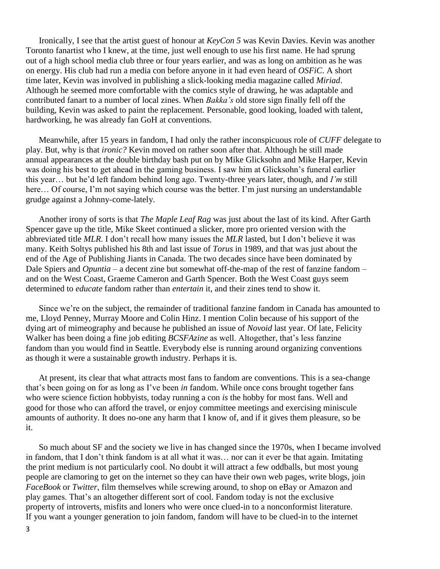Ironically, I see that the artist guest of honour at *KeyCon 5* was Kevin Davies. Kevin was another Toronto fanartist who I knew, at the time, just well enough to use his first name. He had sprung out of a high school media club three or four years earlier, and was as long on ambition as he was on energy. His club had run a media con before anyone in it had even heard of *OSFiC*. A short time later, Kevin was involved in publishing a slick-looking media magazine called *Miriad*. Although he seemed more comfortable with the comics style of drawing, he was adaptable and contributed fanart to a number of local zines. When *Bakka's* old store sign finally fell off the building, Kevin was asked to paint the replacement. Personable, good looking, loaded with talent, hardworking, he was already fan GoH at conventions.

 Meanwhile, after 15 years in fandom, I had only the rather inconspicuous role of *CUFF* delegate to play. But, why is that *ironic?* Kevin moved on rather soon after that. Although he still made annual appearances at the double birthday bash put on by Mike Glicksohn and Mike Harper, Kevin was doing his best to get ahead in the gaming business. I saw him at Glicksohn's funeral earlier this year… but he'd left fandom behind long ago. Twenty-three years later, though, and *I'm* still here... Of course, I'm not saying which course was the better. I'm just nursing an understandable grudge against a Johnny-come-lately.

 Another irony of sorts is that *The Maple Leaf Rag* was just about the last of its kind. After Garth Spencer gave up the title, Mike Skeet continued a slicker, more pro oriented version with the abbreviated title *MLR*. I don't recall how many issues the *MLR* lasted, but I don't believe it was many. Keith Soltys published his 8th and last issue of *Torus* in 1989, and that was just about the end of the Age of Publishing Jiants in Canada. The two decades since have been dominated by Dale Spiers and *Opuntia* – a decent zine but somewhat off-the-map of the rest of fanzine fandom – and on the West Coast, Graeme Cameron and Garth Spencer. Both the West Coast guys seem determined to *educate* fandom rather than *entertain* it, and their zines tend to show it.

 Since we're on the subject, the remainder of traditional fanzine fandom in Canada has amounted to me, Lloyd Penney, Murray Moore and Colin Hinz. I mention Colin because of his support of the dying art of mimeography and because he published an issue of *Novoid* last year. Of late, Felicity Walker has been doing a fine job editing *BCSFAzine* as well. Altogether, that's less fanzine fandom than you would find in Seattle. Everybody else is running around organizing conventions as though it were a sustainable growth industry. Perhaps it is.

 At present, its clear that what attracts most fans to fandom are conventions. This is a sea-change that's been going on for as long as I've been *in* fandom. While once cons brought together fans who were science fiction hobbyists, today running a con *is* the hobby for most fans. Well and good for those who can afford the travel, or enjoy committee meetings and exercising miniscule amounts of authority. It does no-one any harm that I know of, and if it gives them pleasure, so be it.

 So much about SF and the society we live in has changed since the 1970s, when I became involved in fandom, that I don't think fandom is at all what it was… nor can it ever be that again. Imitating the print medium is not particularly cool. No doubt it will attract a few oddballs, but most young people are clamoring to get on the internet so they can have their own web pages, write blogs, join *FaceBook* or *Twitter*, film themselves while screwing around, to shop on eBay or Amazon and play games. That's an altogether different sort of cool. Fandom today is not the exclusive property of introverts, misfits and loners who were once clued-in to a nonconformist literature. If you want a younger generation to join fandom, fandom will have to be clued-in to the internet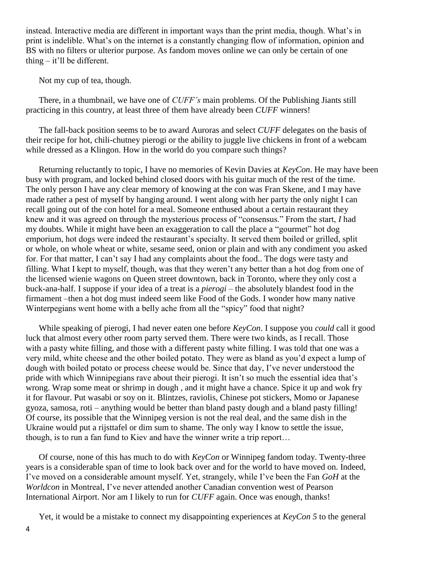instead. Interactive media are different in important ways than the print media, though. What's in print is indelible. What's on the internet is a constantly changing flow of information, opinion and BS with no filters or ulterior purpose. As fandom moves online we can only be certain of one thing – it'll be different.

Not my cup of tea, though.

 There, in a thumbnail, we have one of *CUFF's* main problems. Of the Publishing Jiants still practicing in this country, at least three of them have already been *CUFF* winners!

 The fall-back position seems to be to award Auroras and select *CUFF* delegates on the basis of their recipe for hot, chili-chutney pierogi or the ability to juggle live chickens in front of a webcam while dressed as a Klingon. How in the world do you compare such things?

 Returning reluctantly to topic, I have no memories of Kevin Davies at *KeyCon*. He may have been busy with program, and locked behind closed doors with his guitar much of the rest of the time. The only person I have any clear memory of knowing at the con was Fran Skene, and I may have made rather a pest of myself by hanging around. I went along with her party the only night I can recall going out of the con hotel for a meal. Someone enthused about a certain restaurant they knew and it was agreed on through the mysterious process of "consensus." From the start, *I* had my doubts. While it might have been an exaggeration to call the place a "gourmet" hot dog emporium, hot dogs were indeed the restaurant's specialty. It served them boiled or grilled, split or whole, on whole wheat or white, sesame seed, onion or plain and with any condiment you asked for. For that matter, I can't say I had any complaints about the food.. The dogs were tasty and filling. What I kept to myself, though, was that they weren't any better than a hot dog from one of the licensed wienie wagons on Queen street downtown, back in Toronto, where they only cost a buck-ana-half. I suppose if your idea of a treat is a *pierogi* – the absolutely blandest food in the firmament –then a hot dog must indeed seem like Food of the Gods. I wonder how many native Winterpegians went home with a belly ache from all the "spicy" food that night?

 While speaking of pierogi, I had never eaten one before *KeyCon*. I suppose you *could* call it good luck that almost every other room party served them. There were two kinds, as I recall. Those with a pasty white filling, and those with a different pasty white filling. I was told that one was a very mild, white cheese and the other boiled potato. They were as bland as you'd expect a lump of dough with boiled potato or process cheese would be. Since that day, I've never understood the pride with which Winnipegians rave about their pierogi. It isn't so much the essential idea that's wrong. Wrap some meat or shrimp in dough , and it might have a chance. Spice it up and wok fry it for flavour. Put wasabi or soy on it. Blintzes, raviolis, Chinese pot stickers, Momo or Japanese gyoza, samosa, roti – anything would be better than bland pasty dough and a bland pasty filling! Of course, its possible that the Winnipeg version is not the real deal, and the same dish in the Ukraine would put a rijsttafel or dim sum to shame. The only way I know to settle the issue, though, is to run a fan fund to Kiev and have the winner write a trip report…

 Of course, none of this has much to do with *KeyCon* or Winnipeg fandom today. Twenty-three years is a considerable span of time to look back over and for the world to have moved on. Indeed, I've moved on a considerable amount myself. Yet, strangely, while I've been the Fan *GoH* at the *Worldcon* in Montreal, I've never attended another Canadian convention west of Pearson International Airport. Nor am I likely to run for *CUFF* again. Once was enough, thanks!

Yet, it would be a mistake to connect my disappointing experiences at *KeyCon 5* to the general